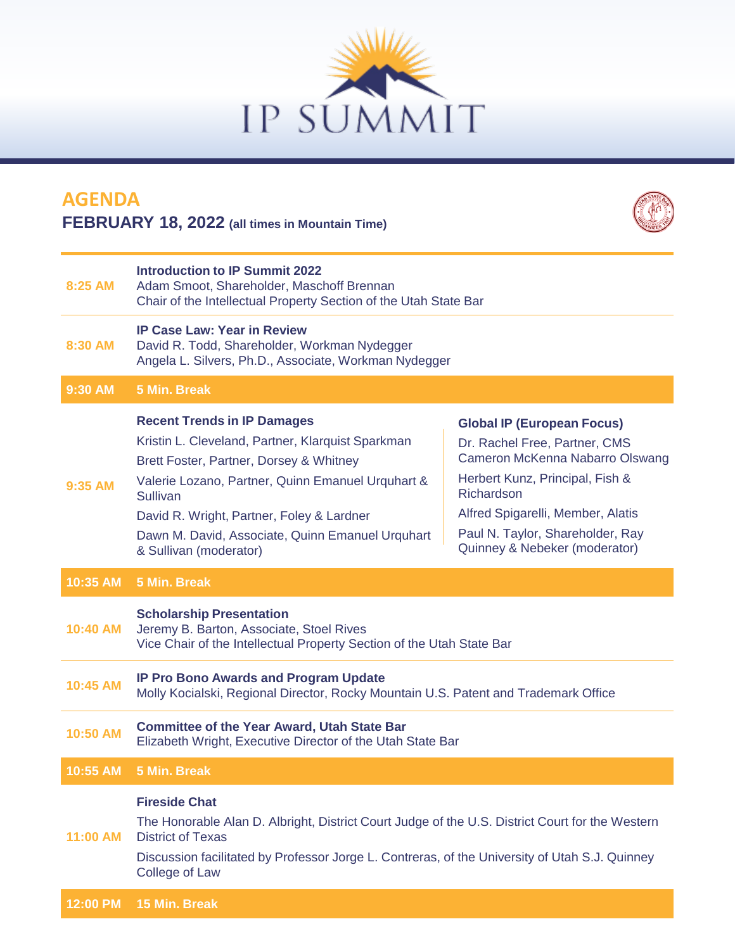

## **8:25 AM Introduction to IP Summit 2022** Adam Smoot, Shareholder, Maschoff Brennan Chair of the Intellectual Property Section of the Utah State Bar **8:30 AM IP Case Law: Year in Review** David R. Todd, Shareholder, Workman Nydegger Angela L. Silvers, Ph.D., Associate, Workman Nydegger **9:30 AM 5 Min. Break 9:35 AM Recent Trends in IP Damages** Kristin L. Cleveland, Partner, Klarquist Sparkman Brett Foster, Partner, Dorsey & Whitney Valerie Lozano, Partner, Quinn Emanuel Urquhart & **Sullivan** David R. Wright, Partner, Foley & Lardner Dawn M. David, Associate, Quinn Emanuel Urquhart & Sullivan (moderator) **Global IP (European Focus)** Dr. Rachel Free, Partner, CMS Cameron McKenna Nabarro Olswang Herbert Kunz, Principal, Fish & Richardson Alfred Spigarelli, Member, Alatis Paul N. Taylor, Shareholder, Ray Quinney & Nebeker (moderator) **10:35 AM 5 Min. Break 10:40 AM Scholarship Presentation** Jeremy B. Barton, Associate, Stoel Rives Vice Chair of the Intellectual Property Section of the Utah State Bar **10:45 AM IP Pro Bono Awards and Program Update** Molly Kocialski, Regional Director, Rocky Mountain U.S. Patent and Trademark Office **10:50 AM Committee of the Year Award, Utah State Bar** Elizabeth Wright, Executive Director of the Utah State Bar **10:55 AM 5 Min. Break 11:00 AM Fireside Chat** The Honorable Alan D. Albright, District Court Judge of the U.S. District Court for the Western District of Texas **AGENDA FEBRUARY 18, 2022 (all times in Mountain Time)**

Discussion facilitated by Professor Jorge L. Contreras, of the University of Utah S.J. Quinney College of Law